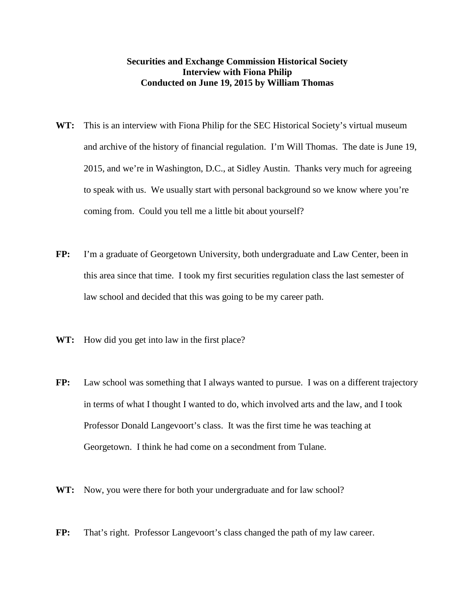## **Securities and Exchange Commission Historical Society Interview with Fiona Philip Conducted on June 19, 2015 by William Thomas**

- **WT:** This is an interview with Fiona Philip for the SEC Historical Society's virtual museum and archive of the history of financial regulation. I'm Will Thomas. The date is June 19, 2015, and we're in Washington, D.C., at Sidley Austin. Thanks very much for agreeing to speak with us. We usually start with personal background so we know where you're coming from. Could you tell me a little bit about yourself?
- **FP:** I'm a graduate of Georgetown University, both undergraduate and Law Center, been in this area since that time. I took my first securities regulation class the last semester of law school and decided that this was going to be my career path.
- **WT:** How did you get into law in the first place?
- **FP:** Law school was something that I always wanted to pursue. I was on a different trajectory in terms of what I thought I wanted to do, which involved arts and the law, and I took Professor Donald Langevoort's class. It was the first time he was teaching at Georgetown. I think he had come on a secondment from Tulane.
- **WT:** Now, you were there for both your undergraduate and for law school?
- **FP:** That's right. Professor Langevoort's class changed the path of my law career.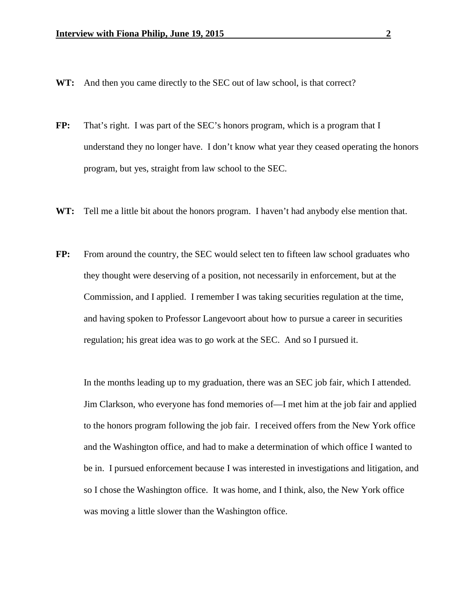- **WT:** And then you came directly to the SEC out of law school, is that correct?
- **FP:** That's right. I was part of the SEC's honors program, which is a program that I understand they no longer have. I don't know what year they ceased operating the honors program, but yes, straight from law school to the SEC.
- **WT:** Tell me a little bit about the honors program. I haven't had anybody else mention that.
- **FP:** From around the country, the SEC would select ten to fifteen law school graduates who they thought were deserving of a position, not necessarily in enforcement, but at the Commission, and I applied. I remember I was taking securities regulation at the time, and having spoken to Professor Langevoort about how to pursue a career in securities regulation; his great idea was to go work at the SEC. And so I pursued it.

In the months leading up to my graduation, there was an SEC job fair, which I attended. Jim Clarkson, who everyone has fond memories of—I met him at the job fair and applied to the honors program following the job fair. I received offers from the New York office and the Washington office, and had to make a determination of which office I wanted to be in. I pursued enforcement because I was interested in investigations and litigation, and so I chose the Washington office. It was home, and I think, also, the New York office was moving a little slower than the Washington office.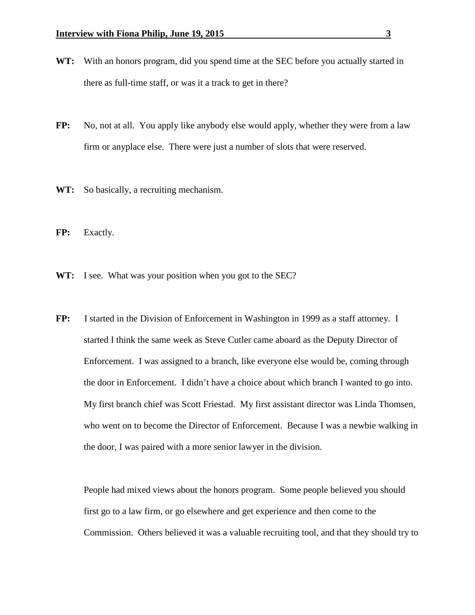- **WT:** With an honors program, did you spend time at the SEC before you actually started in there as full-time staff, or was it a track to get in there?
- **FP:** No, not at all. You apply like anybody else would apply, whether they were from a law firm or anyplace else. There were just a number of slots that were reserved.
- **WT:** So basically, a recruiting mechanism.
- **FP:** Exactly.
- **WT:** I see. What was your position when you got to the SEC?
- **FP:** I started in the Division of Enforcement in Washington in 1999 as a staff attorney. I started I think the same week as Steve Cutler came aboard as the Deputy Director of Enforcement. I was assigned to a branch, like everyone else would be, coming through the door in Enforcement. I didn't have a choice about which branch I wanted to go into. My first branch chief was Scott Friestad. My first assistant director was Linda Thomsen, who went on to become the Director of Enforcement. Because I was a newbie walking in the door, I was paired with a more senior lawyer in the division.

People had mixed views about the honors program. Some people believed you should first go to a law firm, or go elsewhere and get experience and then come to the Commission. Others believed it was a valuable recruiting tool, and that they should try to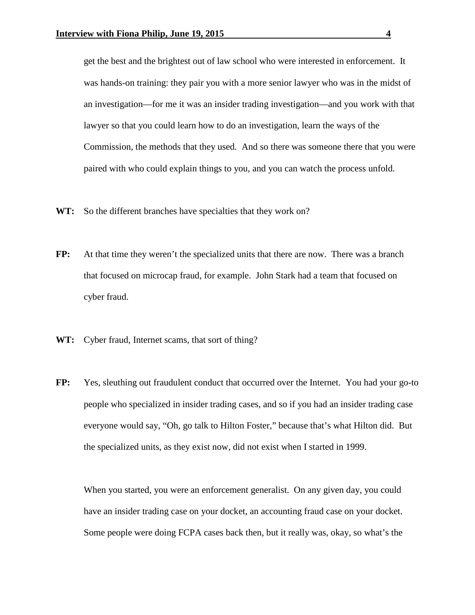get the best and the brightest out of law school who were interested in enforcement. It was hands-on training: they pair you with a more senior lawyer who was in the midst of an investigation—for me it was an insider trading investigation—and you work with that lawyer so that you could learn how to do an investigation, learn the ways of the Commission, the methods that they used. And so there was someone there that you were paired with who could explain things to you, and you can watch the process unfold.

- **WT:** So the different branches have specialties that they work on?
- **FP:** At that time they weren't the specialized units that there are now. There was a branch that focused on microcap fraud, for example. John Stark had a team that focused on cyber fraud.
- **WT:** Cyber fraud, Internet scams, that sort of thing?
- **FP:** Yes, sleuthing out fraudulent conduct that occurred over the Internet. You had your go-to people who specialized in insider trading cases, and so if you had an insider trading case everyone would say, "Oh, go talk to Hilton Foster," because that's what Hilton did. But the specialized units, as they exist now, did not exist when I started in 1999.

When you started, you were an enforcement generalist. On any given day, you could have an insider trading case on your docket, an accounting fraud case on your docket. Some people were doing FCPA cases back then, but it really was, okay, so what's the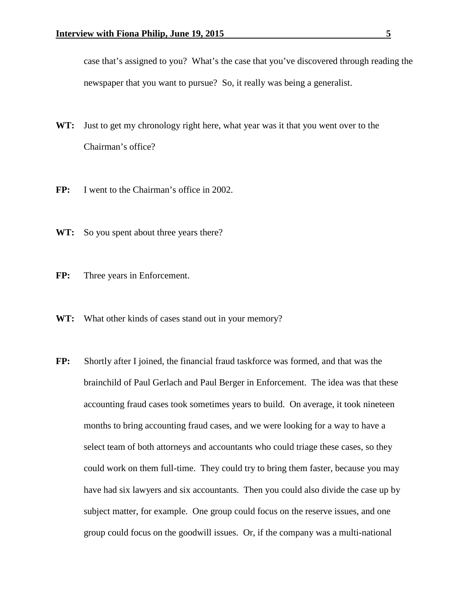case that's assigned to you? What's the case that you've discovered through reading the newspaper that you want to pursue? So, it really was being a generalist.

- **WT:** Just to get my chronology right here, what year was it that you went over to the Chairman's office?
- **FP:** I went to the Chairman's office in 2002.
- **WT:** So you spent about three years there?
- FP: Three years in Enforcement.
- **WT:** What other kinds of cases stand out in your memory?
- **FP:** Shortly after I joined, the financial fraud taskforce was formed, and that was the brainchild of Paul Gerlach and Paul Berger in Enforcement. The idea was that these accounting fraud cases took sometimes years to build. On average, it took nineteen months to bring accounting fraud cases, and we were looking for a way to have a select team of both attorneys and accountants who could triage these cases, so they could work on them full-time. They could try to bring them faster, because you may have had six lawyers and six accountants. Then you could also divide the case up by subject matter, for example. One group could focus on the reserve issues, and one group could focus on the goodwill issues. Or, if the company was a multi-national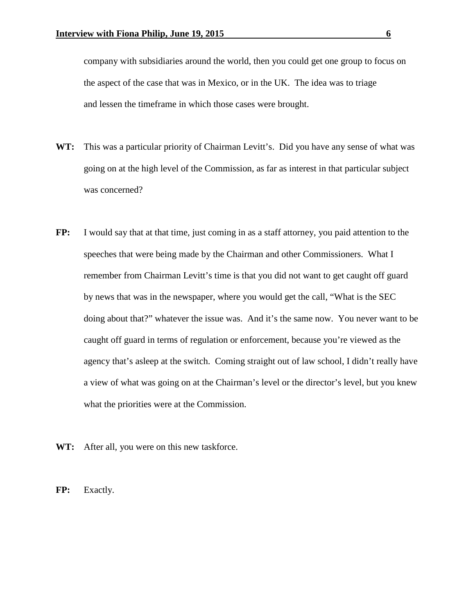company with subsidiaries around the world, then you could get one group to focus on the aspect of the case that was in Mexico, or in the UK. The idea was to triage and lessen the timeframe in which those cases were brought.

- **WT:** This was a particular priority of Chairman Levitt's. Did you have any sense of what was going on at the high level of the Commission, as far as interest in that particular subject was concerned?
- **FP:** I would say that at that time, just coming in as a staff attorney, you paid attention to the speeches that were being made by the Chairman and other Commissioners. What I remember from Chairman Levitt's time is that you did not want to get caught off guard by news that was in the newspaper, where you would get the call, "What is the SEC doing about that?" whatever the issue was. And it's the same now. You never want to be caught off guard in terms of regulation or enforcement, because you're viewed as the agency that's asleep at the switch. Coming straight out of law school, I didn't really have a view of what was going on at the Chairman's level or the director's level, but you knew what the priorities were at the Commission.
- WT: After all, you were on this new taskforce.

**FP:** Exactly.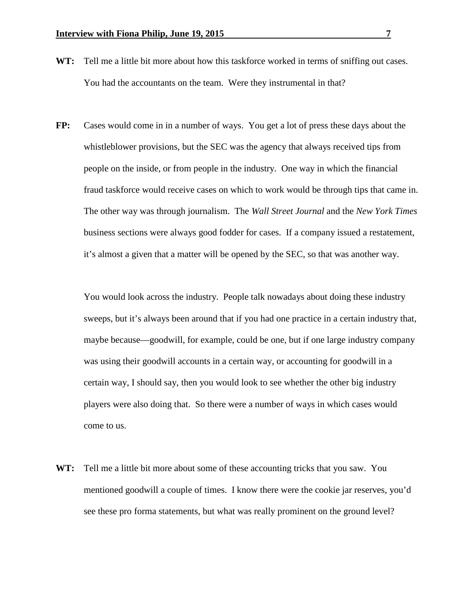- **WT:** Tell me a little bit more about how this taskforce worked in terms of sniffing out cases. You had the accountants on the team. Were they instrumental in that?
- **FP:** Cases would come in in a number of ways. You get a lot of press these days about the whistleblower provisions, but the SEC was the agency that always received tips from people on the inside, or from people in the industry. One way in which the financial fraud taskforce would receive cases on which to work would be through tips that came in. The other way was through journalism. The *Wall Street Journal* and the *New York Times*  business sections were always good fodder for cases. If a company issued a restatement, it's almost a given that a matter will be opened by the SEC, so that was another way.

You would look across the industry. People talk nowadays about doing these industry sweeps, but it's always been around that if you had one practice in a certain industry that, maybe because—goodwill, for example, could be one, but if one large industry company was using their goodwill accounts in a certain way, or accounting for goodwill in a certain way, I should say, then you would look to see whether the other big industry players were also doing that. So there were a number of ways in which cases would come to us.

**WT:** Tell me a little bit more about some of these accounting tricks that you saw. You mentioned goodwill a couple of times. I know there were the cookie jar reserves, you'd see these pro forma statements, but what was really prominent on the ground level?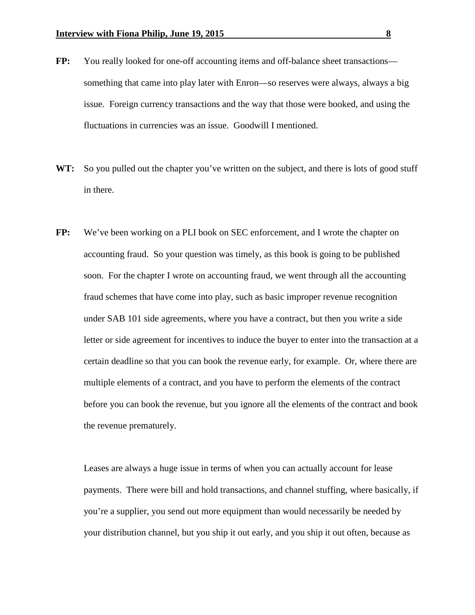- **FP:** You really looked for one-off accounting items and off-balance sheet transactions something that came into play later with Enron—so reserves were always, always a big issue. Foreign currency transactions and the way that those were booked, and using the fluctuations in currencies was an issue. Goodwill I mentioned.
- WT: So you pulled out the chapter you've written on the subject, and there is lots of good stuff in there.
- **FP:** We've been working on a PLI book on SEC enforcement, and I wrote the chapter on accounting fraud. So your question was timely, as this book is going to be published soon. For the chapter I wrote on accounting fraud, we went through all the accounting fraud schemes that have come into play, such as basic improper revenue recognition under SAB 101 side agreements, where you have a contract, but then you write a side letter or side agreement for incentives to induce the buyer to enter into the transaction at a certain deadline so that you can book the revenue early, for example. Or, where there are multiple elements of a contract, and you have to perform the elements of the contract before you can book the revenue, but you ignore all the elements of the contract and book the revenue prematurely.

Leases are always a huge issue in terms of when you can actually account for lease payments. There were bill and hold transactions, and channel stuffing, where basically, if you're a supplier, you send out more equipment than would necessarily be needed by your distribution channel, but you ship it out early, and you ship it out often, because as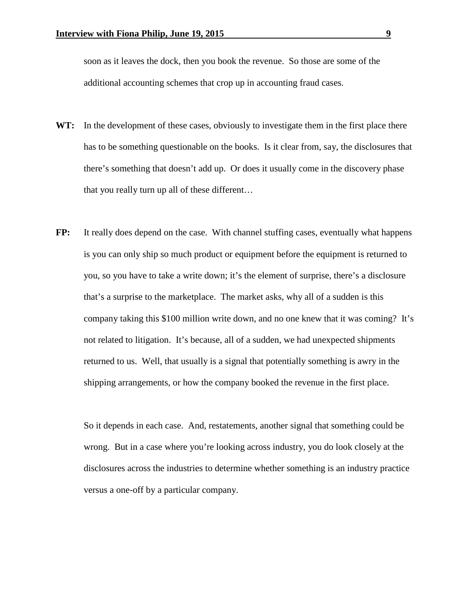soon as it leaves the dock, then you book the revenue. So those are some of the additional accounting schemes that crop up in accounting fraud cases.

- WT: In the development of these cases, obviously to investigate them in the first place there has to be something questionable on the books. Is it clear from, say, the disclosures that there's something that doesn't add up. Or does it usually come in the discovery phase that you really turn up all of these different…
- **FP:** It really does depend on the case. With channel stuffing cases, eventually what happens is you can only ship so much product or equipment before the equipment is returned to you, so you have to take a write down; it's the element of surprise, there's a disclosure that's a surprise to the marketplace. The market asks, why all of a sudden is this company taking this \$100 million write down, and no one knew that it was coming? It's not related to litigation. It's because, all of a sudden, we had unexpected shipments returned to us. Well, that usually is a signal that potentially something is awry in the shipping arrangements, or how the company booked the revenue in the first place.

So it depends in each case. And, restatements, another signal that something could be wrong. But in a case where you're looking across industry, you do look closely at the disclosures across the industries to determine whether something is an industry practice versus a one-off by a particular company.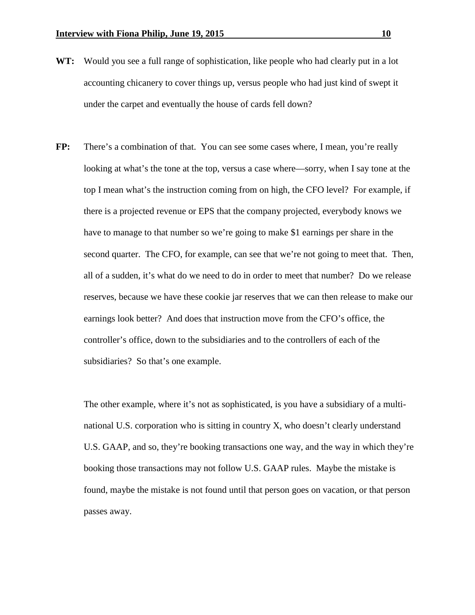- **WT:** Would you see a full range of sophistication, like people who had clearly put in a lot accounting chicanery to cover things up, versus people who had just kind of swept it under the carpet and eventually the house of cards fell down?
- FP: There's a combination of that. You can see some cases where, I mean, you're really looking at what's the tone at the top, versus a case where—sorry, when I say tone at the top I mean what's the instruction coming from on high, the CFO level? For example, if there is a projected revenue or EPS that the company projected, everybody knows we have to manage to that number so we're going to make \$1 earnings per share in the second quarter. The CFO, for example, can see that we're not going to meet that. Then, all of a sudden, it's what do we need to do in order to meet that number? Do we release reserves, because we have these cookie jar reserves that we can then release to make our earnings look better? And does that instruction move from the CFO's office, the controller's office, down to the subsidiaries and to the controllers of each of the subsidiaries? So that's one example.

The other example, where it's not as sophisticated, is you have a subsidiary of a multinational U.S. corporation who is sitting in country X, who doesn't clearly understand U.S. GAAP, and so, they're booking transactions one way, and the way in which they're booking those transactions may not follow U.S. GAAP rules. Maybe the mistake is found, maybe the mistake is not found until that person goes on vacation, or that person passes away.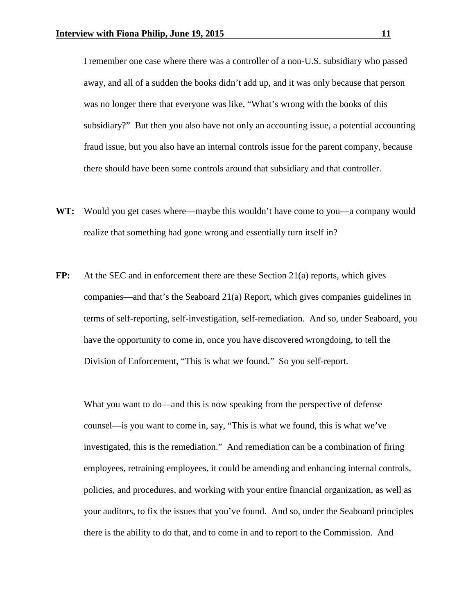I remember one case where there was a controller of a non-U.S. subsidiary who passed away, and all of a sudden the books didn't add up, and it was only because that person was no longer there that everyone was like, "What's wrong with the books of this subsidiary?" But then you also have not only an accounting issue, a potential accounting fraud issue, but you also have an internal controls issue for the parent company, because there should have been some controls around that subsidiary and that controller.

- **WT:** Would you get cases where—maybe this wouldn't have come to you—a company would realize that something had gone wrong and essentially turn itself in?
- **FP:** At the SEC and in enforcement there are these Section 21(a) reports, which gives companies—and that's the Seaboard 21(a) Report, which gives companies guidelines in terms of self-reporting, self-investigation, self-remediation. And so, under Seaboard, you have the opportunity to come in, once you have discovered wrongdoing, to tell the Division of Enforcement, "This is what we found." So you self-report.

What you want to do—and this is now speaking from the perspective of defense counsel—is you want to come in, say, "This is what we found, this is what we've investigated, this is the remediation." And remediation can be a combination of firing employees, retraining employees, it could be amending and enhancing internal controls, policies, and procedures, and working with your entire financial organization, as well as your auditors, to fix the issues that you've found. And so, under the Seaboard principles there is the ability to do that, and to come in and to report to the Commission. And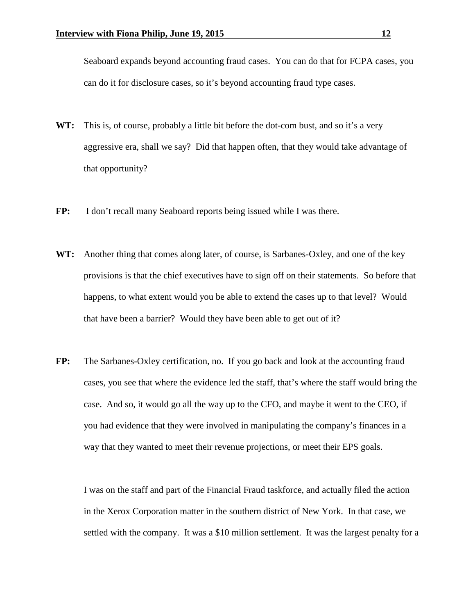Seaboard expands beyond accounting fraud cases. You can do that for FCPA cases, you can do it for disclosure cases, so it's beyond accounting fraud type cases.

- **WT:** This is, of course, probably a little bit before the dot-com bust, and so it's a very aggressive era, shall we say? Did that happen often, that they would take advantage of that opportunity?
- FP: I don't recall many Seaboard reports being issued while I was there.
- **WT:** Another thing that comes along later, of course, is Sarbanes-Oxley, and one of the key provisions is that the chief executives have to sign off on their statements. So before that happens, to what extent would you be able to extend the cases up to that level? Would that have been a barrier? Would they have been able to get out of it?
- **FP:** The Sarbanes-Oxley certification, no. If you go back and look at the accounting fraud cases, you see that where the evidence led the staff, that's where the staff would bring the case. And so, it would go all the way up to the CFO, and maybe it went to the CEO, if you had evidence that they were involved in manipulating the company's finances in a way that they wanted to meet their revenue projections, or meet their EPS goals.

I was on the staff and part of the Financial Fraud taskforce, and actually filed the action in the Xerox Corporation matter in the southern district of New York. In that case, we settled with the company. It was a \$10 million settlement. It was the largest penalty for a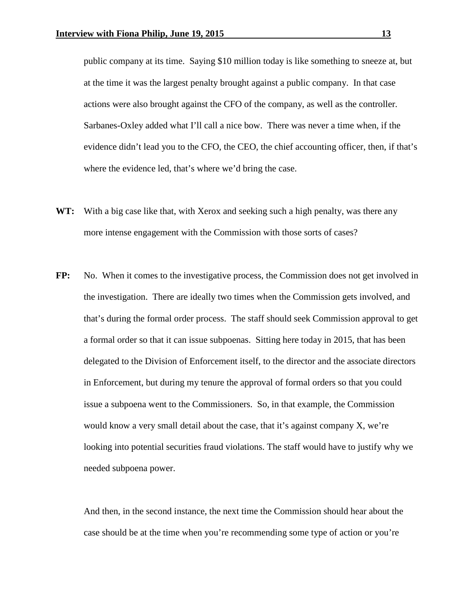public company at its time. Saying \$10 million today is like something to sneeze at, but at the time it was the largest penalty brought against a public company. In that case actions were also brought against the CFO of the company, as well as the controller. Sarbanes-Oxley added what I'll call a nice bow. There was never a time when, if the evidence didn't lead you to the CFO, the CEO, the chief accounting officer, then, if that's where the evidence led, that's where we'd bring the case.

- **WT:** With a big case like that, with Xerox and seeking such a high penalty, was there any more intense engagement with the Commission with those sorts of cases?
- FP: No. When it comes to the investigative process, the Commission does not get involved in the investigation. There are ideally two times when the Commission gets involved, and that's during the formal order process. The staff should seek Commission approval to get a formal order so that it can issue subpoenas. Sitting here today in 2015, that has been delegated to the Division of Enforcement itself, to the director and the associate directors in Enforcement, but during my tenure the approval of formal orders so that you could issue a subpoena went to the Commissioners. So, in that example, the Commission would know a very small detail about the case, that it's against company X, we're looking into potential securities fraud violations. The staff would have to justify why we needed subpoena power.

And then, in the second instance, the next time the Commission should hear about the case should be at the time when you're recommending some type of action or you're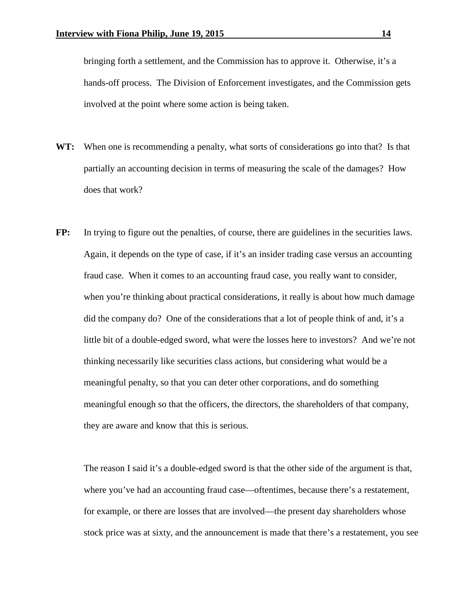bringing forth a settlement, and the Commission has to approve it. Otherwise, it's a hands-off process. The Division of Enforcement investigates, and the Commission gets involved at the point where some action is being taken.

- **WT:** When one is recommending a penalty, what sorts of considerations go into that? Is that partially an accounting decision in terms of measuring the scale of the damages? How does that work?
- **FP:** In trying to figure out the penalties, of course, there are guidelines in the securities laws. Again, it depends on the type of case, if it's an insider trading case versus an accounting fraud case. When it comes to an accounting fraud case, you really want to consider, when you're thinking about practical considerations, it really is about how much damage did the company do? One of the considerations that a lot of people think of and, it's a little bit of a double-edged sword, what were the losses here to investors? And we're not thinking necessarily like securities class actions, but considering what would be a meaningful penalty, so that you can deter other corporations, and do something meaningful enough so that the officers, the directors, the shareholders of that company, they are aware and know that this is serious.

The reason I said it's a double-edged sword is that the other side of the argument is that, where you've had an accounting fraud case—oftentimes, because there's a restatement, for example, or there are losses that are involved—the present day shareholders whose stock price was at sixty, and the announcement is made that there's a restatement, you see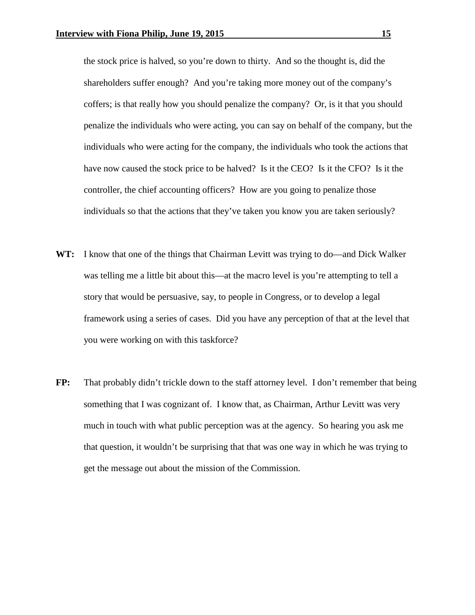the stock price is halved, so you're down to thirty. And so the thought is, did the shareholders suffer enough? And you're taking more money out of the company's coffers; is that really how you should penalize the company? Or, is it that you should penalize the individuals who were acting, you can say on behalf of the company, but the individuals who were acting for the company, the individuals who took the actions that have now caused the stock price to be halved? Is it the CEO? Is it the CFO? Is it the controller, the chief accounting officers? How are you going to penalize those individuals so that the actions that they've taken you know you are taken seriously?

- **WT:** I know that one of the things that Chairman Levitt was trying to do—and Dick Walker was telling me a little bit about this—at the macro level is you're attempting to tell a story that would be persuasive, say, to people in Congress, or to develop a legal framework using a series of cases. Did you have any perception of that at the level that you were working on with this taskforce?
- **FP:** That probably didn't trickle down to the staff attorney level. I don't remember that being something that I was cognizant of. I know that, as Chairman, Arthur Levitt was very much in touch with what public perception was at the agency. So hearing you ask me that question, it wouldn't be surprising that that was one way in which he was trying to get the message out about the mission of the Commission.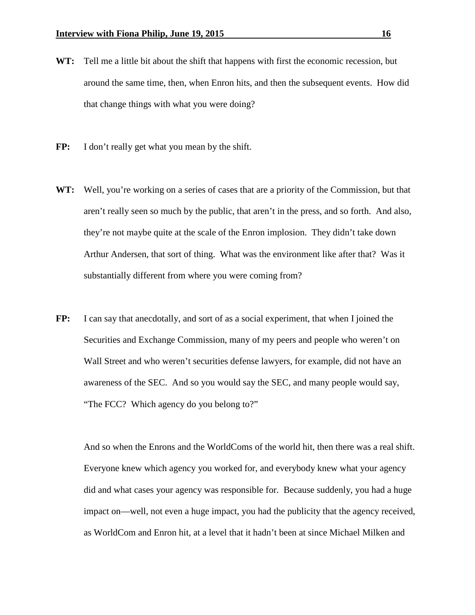- **WT:** Tell me a little bit about the shift that happens with first the economic recession, but around the same time, then, when Enron hits, and then the subsequent events. How did that change things with what you were doing?
- **FP:** I don't really get what you mean by the shift.
- **WT:** Well, you're working on a series of cases that are a priority of the Commission, but that aren't really seen so much by the public, that aren't in the press, and so forth. And also, they're not maybe quite at the scale of the Enron implosion. They didn't take down Arthur Andersen, that sort of thing. What was the environment like after that? Was it substantially different from where you were coming from?
- **FP:** I can say that anecdotally, and sort of as a social experiment, that when I joined the Securities and Exchange Commission, many of my peers and people who weren't on Wall Street and who weren't securities defense lawyers, for example, did not have an awareness of the SEC. And so you would say the SEC, and many people would say, "The FCC? Which agency do you belong to?"

And so when the Enrons and the WorldComs of the world hit, then there was a real shift. Everyone knew which agency you worked for, and everybody knew what your agency did and what cases your agency was responsible for. Because suddenly, you had a huge impact on—well, not even a huge impact, you had the publicity that the agency received, as WorldCom and Enron hit, at a level that it hadn't been at since Michael Milken and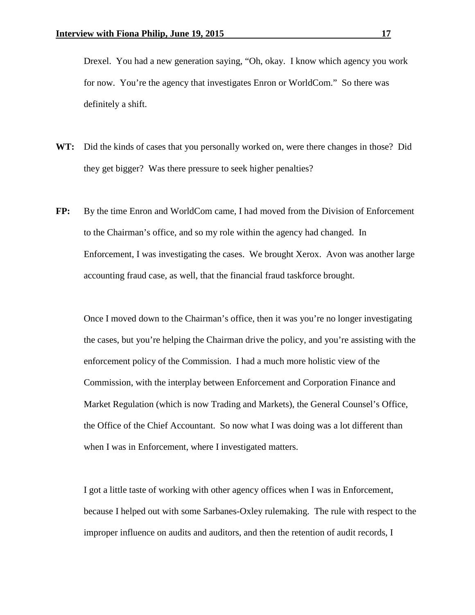Drexel. You had a new generation saying, "Oh, okay. I know which agency you work for now. You're the agency that investigates Enron or WorldCom." So there was definitely a shift.

- **WT:** Did the kinds of cases that you personally worked on, were there changes in those? Did they get bigger? Was there pressure to seek higher penalties?
- **FP:** By the time Enron and WorldCom came, I had moved from the Division of Enforcement to the Chairman's office, and so my role within the agency had changed. In Enforcement, I was investigating the cases. We brought Xerox. Avon was another large accounting fraud case, as well, that the financial fraud taskforce brought.

Once I moved down to the Chairman's office, then it was you're no longer investigating the cases, but you're helping the Chairman drive the policy, and you're assisting with the enforcement policy of the Commission. I had a much more holistic view of the Commission, with the interplay between Enforcement and Corporation Finance and Market Regulation (which is now Trading and Markets), the General Counsel's Office, the Office of the Chief Accountant. So now what I was doing was a lot different than when I was in Enforcement, where I investigated matters.

I got a little taste of working with other agency offices when I was in Enforcement, because I helped out with some Sarbanes-Oxley rulemaking. The rule with respect to the improper influence on audits and auditors, and then the retention of audit records, I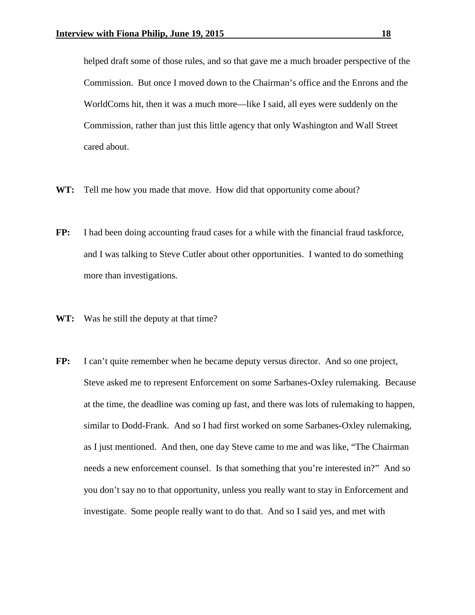helped draft some of those rules, and so that gave me a much broader perspective of the Commission. But once I moved down to the Chairman's office and the Enrons and the WorldComs hit, then it was a much more—like I said, all eyes were suddenly on the Commission, rather than just this little agency that only Washington and Wall Street cared about.

- **WT:** Tell me how you made that move. How did that opportunity come about?
- **FP:** I had been doing accounting fraud cases for a while with the financial fraud taskforce, and I was talking to Steve Cutler about other opportunities. I wanted to do something more than investigations.
- **WT:** Was he still the deputy at that time?
- **FP:** I can't quite remember when he became deputy versus director. And so one project, Steve asked me to represent Enforcement on some Sarbanes-Oxley rulemaking. Because at the time, the deadline was coming up fast, and there was lots of rulemaking to happen, similar to Dodd-Frank. And so I had first worked on some Sarbanes-Oxley rulemaking, as I just mentioned. And then, one day Steve came to me and was like, "The Chairman needs a new enforcement counsel. Is that something that you're interested in?" And so you don't say no to that opportunity, unless you really want to stay in Enforcement and investigate. Some people really want to do that. And so I said yes, and met with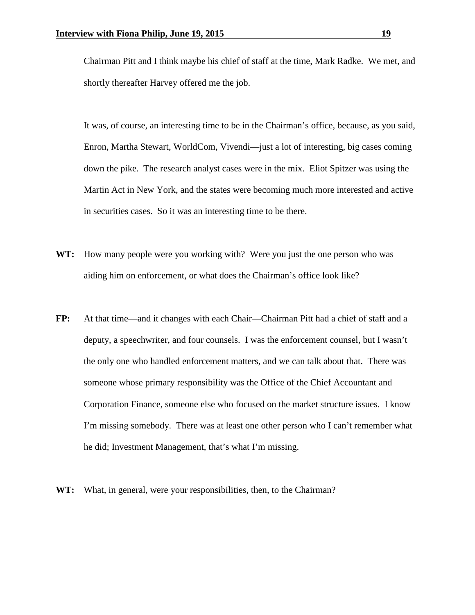Chairman Pitt and I think maybe his chief of staff at the time, Mark Radke. We met, and shortly thereafter Harvey offered me the job.

It was, of course, an interesting time to be in the Chairman's office, because, as you said, Enron, Martha Stewart, WorldCom, Vivendi—just a lot of interesting, big cases coming down the pike. The research analyst cases were in the mix. Eliot Spitzer was using the Martin Act in New York, and the states were becoming much more interested and active in securities cases. So it was an interesting time to be there.

- **WT:** How many people were you working with? Were you just the one person who was aiding him on enforcement, or what does the Chairman's office look like?
- **FP:** At that time—and it changes with each Chair—Chairman Pitt had a chief of staff and a deputy, a speechwriter, and four counsels. I was the enforcement counsel, but I wasn't the only one who handled enforcement matters, and we can talk about that. There was someone whose primary responsibility was the Office of the Chief Accountant and Corporation Finance, someone else who focused on the market structure issues. I know I'm missing somebody. There was at least one other person who I can't remember what he did; Investment Management, that's what I'm missing.
- **WT:** What, in general, were your responsibilities, then, to the Chairman?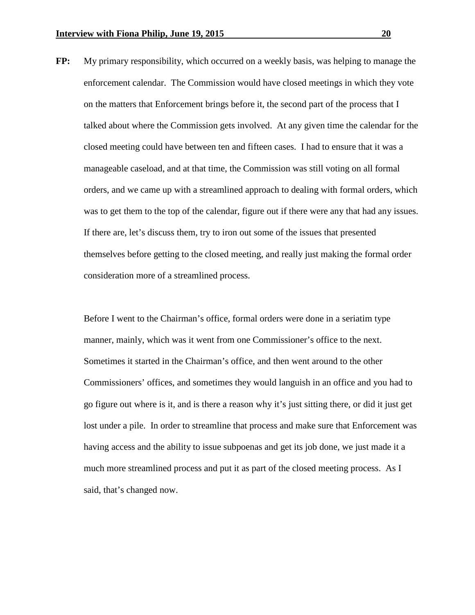**FP:** My primary responsibility, which occurred on a weekly basis, was helping to manage the enforcement calendar. The Commission would have closed meetings in which they vote on the matters that Enforcement brings before it, the second part of the process that I talked about where the Commission gets involved. At any given time the calendar for the closed meeting could have between ten and fifteen cases. I had to ensure that it was a manageable caseload, and at that time, the Commission was still voting on all formal orders, and we came up with a streamlined approach to dealing with formal orders, which was to get them to the top of the calendar, figure out if there were any that had any issues. If there are, let's discuss them, try to iron out some of the issues that presented themselves before getting to the closed meeting, and really just making the formal order consideration more of a streamlined process.

Before I went to the Chairman's office, formal orders were done in a seriatim type manner, mainly, which was it went from one Commissioner's office to the next. Sometimes it started in the Chairman's office, and then went around to the other Commissioners' offices, and sometimes they would languish in an office and you had to go figure out where is it, and is there a reason why it's just sitting there, or did it just get lost under a pile. In order to streamline that process and make sure that Enforcement was having access and the ability to issue subpoenas and get its job done, we just made it a much more streamlined process and put it as part of the closed meeting process. As I said, that's changed now.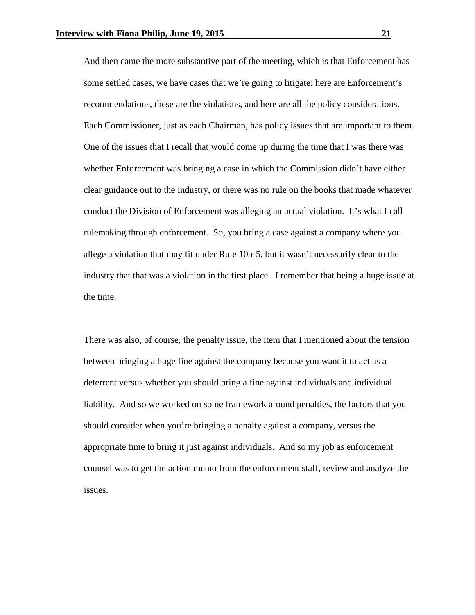And then came the more substantive part of the meeting, which is that Enforcement has some settled cases, we have cases that we're going to litigate: here are Enforcement's recommendations, these are the violations, and here are all the policy considerations. Each Commissioner, just as each Chairman, has policy issues that are important to them. One of the issues that I recall that would come up during the time that I was there was whether Enforcement was bringing a case in which the Commission didn't have either clear guidance out to the industry, or there was no rule on the books that made whatever conduct the Division of Enforcement was alleging an actual violation. It's what I call rulemaking through enforcement. So, you bring a case against a company where you allege a violation that may fit under Rule 10b-5, but it wasn't necessarily clear to the industry that that was a violation in the first place. I remember that being a huge issue at the time.

There was also, of course, the penalty issue, the item that I mentioned about the tension between bringing a huge fine against the company because you want it to act as a deterrent versus whether you should bring a fine against individuals and individual liability. And so we worked on some framework around penalties, the factors that you should consider when you're bringing a penalty against a company, versus the appropriate time to bring it just against individuals. And so my job as enforcement counsel was to get the action memo from the enforcement staff, review and analyze the issues.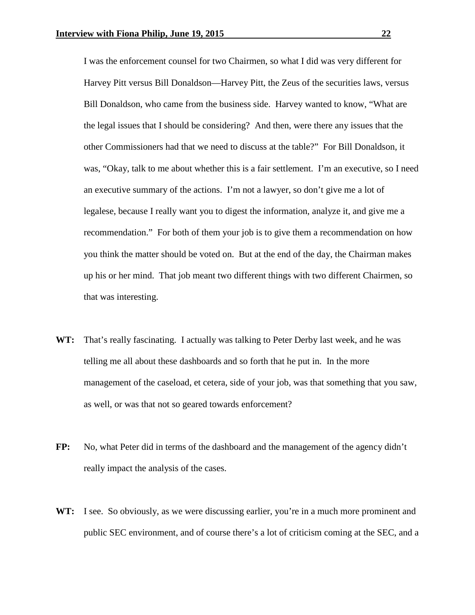I was the enforcement counsel for two Chairmen, so what I did was very different for Harvey Pitt versus Bill Donaldson—Harvey Pitt, the Zeus of the securities laws, versus Bill Donaldson, who came from the business side. Harvey wanted to know, "What are the legal issues that I should be considering? And then, were there any issues that the other Commissioners had that we need to discuss at the table?" For Bill Donaldson, it was, "Okay, talk to me about whether this is a fair settlement. I'm an executive, so I need an executive summary of the actions. I'm not a lawyer, so don't give me a lot of legalese, because I really want you to digest the information, analyze it, and give me a recommendation." For both of them your job is to give them a recommendation on how you think the matter should be voted on. But at the end of the day, the Chairman makes up his or her mind. That job meant two different things with two different Chairmen, so that was interesting.

- **WT:** That's really fascinating. I actually was talking to Peter Derby last week, and he was telling me all about these dashboards and so forth that he put in. In the more management of the caseload, et cetera, side of your job, was that something that you saw, as well, or was that not so geared towards enforcement?
- **FP:** No, what Peter did in terms of the dashboard and the management of the agency didn't really impact the analysis of the cases.
- WT: I see. So obviously, as we were discussing earlier, you're in a much more prominent and public SEC environment, and of course there's a lot of criticism coming at the SEC, and a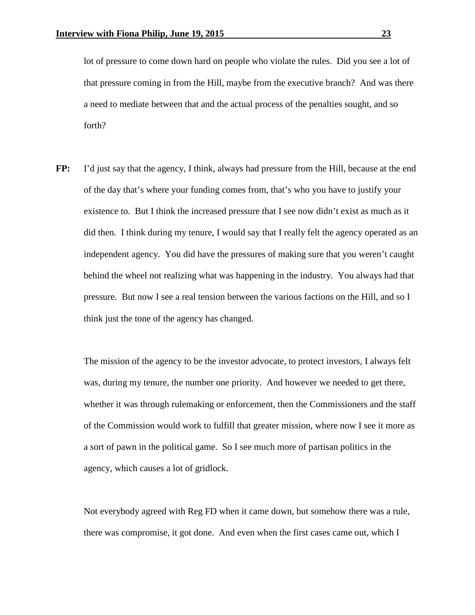lot of pressure to come down hard on people who violate the rules. Did you see a lot of that pressure coming in from the Hill, maybe from the executive branch? And was there a need to mediate between that and the actual process of the penalties sought, and so forth?

**FP:** I'd just say that the agency, I think, always had pressure from the Hill, because at the end of the day that's where your funding comes from, that's who you have to justify your existence to. But I think the increased pressure that I see now didn't exist as much as it did then. I think during my tenure, I would say that I really felt the agency operated as an independent agency. You did have the pressures of making sure that you weren't caught behind the wheel not realizing what was happening in the industry. You always had that pressure. But now I see a real tension between the various factions on the Hill, and so I think just the tone of the agency has changed.

The mission of the agency to be the investor advocate, to protect investors, I always felt was, during my tenure, the number one priority. And however we needed to get there, whether it was through rulemaking or enforcement, then the Commissioners and the staff of the Commission would work to fulfill that greater mission, where now I see it more as a sort of pawn in the political game. So I see much more of partisan politics in the agency, which causes a lot of gridlock.

Not everybody agreed with Reg FD when it came down, but somehow there was a rule, there was compromise, it got done. And even when the first cases came out, which I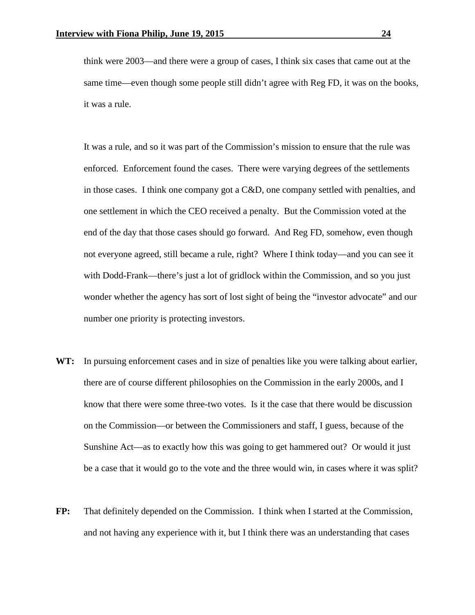think were 2003—and there were a group of cases, I think six cases that came out at the same time—even though some people still didn't agree with Reg FD, it was on the books, it was a rule.

It was a rule, and so it was part of the Commission's mission to ensure that the rule was enforced. Enforcement found the cases. There were varying degrees of the settlements in those cases. I think one company got a C&D, one company settled with penalties, and one settlement in which the CEO received a penalty. But the Commission voted at the end of the day that those cases should go forward. And Reg FD, somehow, even though not everyone agreed, still became a rule, right? Where I think today—and you can see it with Dodd-Frank—there's just a lot of gridlock within the Commission, and so you just wonder whether the agency has sort of lost sight of being the "investor advocate" and our number one priority is protecting investors.

- **WT:** In pursuing enforcement cases and in size of penalties like you were talking about earlier, there are of course different philosophies on the Commission in the early 2000s, and I know that there were some three-two votes. Is it the case that there would be discussion on the Commission—or between the Commissioners and staff, I guess, because of the Sunshine Act—as to exactly how this was going to get hammered out? Or would it just be a case that it would go to the vote and the three would win, in cases where it was split?
- **FP:** That definitely depended on the Commission. I think when I started at the Commission, and not having any experience with it, but I think there was an understanding that cases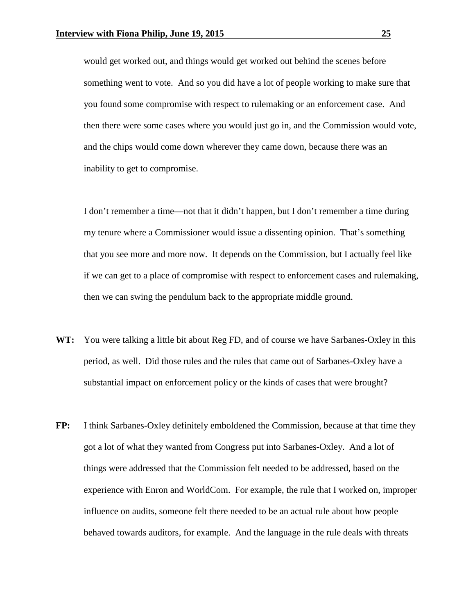would get worked out, and things would get worked out behind the scenes before something went to vote. And so you did have a lot of people working to make sure that you found some compromise with respect to rulemaking or an enforcement case. And then there were some cases where you would just go in, and the Commission would vote, and the chips would come down wherever they came down, because there was an inability to get to compromise.

I don't remember a time—not that it didn't happen, but I don't remember a time during my tenure where a Commissioner would issue a dissenting opinion. That's something that you see more and more now. It depends on the Commission, but I actually feel like if we can get to a place of compromise with respect to enforcement cases and rulemaking, then we can swing the pendulum back to the appropriate middle ground.

- **WT:** You were talking a little bit about Reg FD, and of course we have Sarbanes-Oxley in this period, as well. Did those rules and the rules that came out of Sarbanes-Oxley have a substantial impact on enforcement policy or the kinds of cases that were brought?
- **FP:** I think Sarbanes-Oxley definitely emboldened the Commission, because at that time they got a lot of what they wanted from Congress put into Sarbanes-Oxley. And a lot of things were addressed that the Commission felt needed to be addressed, based on the experience with Enron and WorldCom. For example, the rule that I worked on, improper influence on audits, someone felt there needed to be an actual rule about how people behaved towards auditors, for example. And the language in the rule deals with threats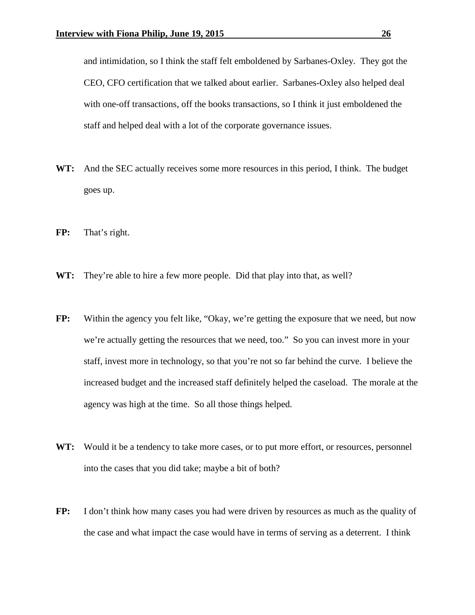and intimidation, so I think the staff felt emboldened by Sarbanes-Oxley. They got the CEO, CFO certification that we talked about earlier. Sarbanes-Oxley also helped deal with one-off transactions, off the books transactions, so I think it just emboldened the staff and helped deal with a lot of the corporate governance issues.

- **WT:** And the SEC actually receives some more resources in this period, I think. The budget goes up.
- **FP:** That's right.
- **WT:** They're able to hire a few more people. Did that play into that, as well?
- FP: Within the agency you felt like, "Okay, we're getting the exposure that we need, but now we're actually getting the resources that we need, too." So you can invest more in your staff, invest more in technology, so that you're not so far behind the curve. I believe the increased budget and the increased staff definitely helped the caseload. The morale at the agency was high at the time. So all those things helped.
- WT: Would it be a tendency to take more cases, or to put more effort, or resources, personnel into the cases that you did take; maybe a bit of both?
- **FP:** I don't think how many cases you had were driven by resources as much as the quality of the case and what impact the case would have in terms of serving as a deterrent. I think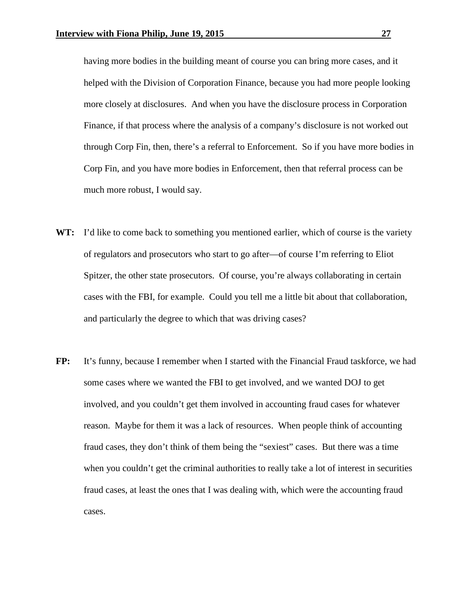having more bodies in the building meant of course you can bring more cases, and it helped with the Division of Corporation Finance, because you had more people looking more closely at disclosures. And when you have the disclosure process in Corporation Finance, if that process where the analysis of a company's disclosure is not worked out through Corp Fin, then, there's a referral to Enforcement. So if you have more bodies in Corp Fin, and you have more bodies in Enforcement, then that referral process can be much more robust, I would say.

- WT: I'd like to come back to something you mentioned earlier, which of course is the variety of regulators and prosecutors who start to go after—of course I'm referring to Eliot Spitzer, the other state prosecutors. Of course, you're always collaborating in certain cases with the FBI, for example. Could you tell me a little bit about that collaboration, and particularly the degree to which that was driving cases?
- **FP:** It's funny, because I remember when I started with the Financial Fraud taskforce, we had some cases where we wanted the FBI to get involved, and we wanted DOJ to get involved, and you couldn't get them involved in accounting fraud cases for whatever reason. Maybe for them it was a lack of resources. When people think of accounting fraud cases, they don't think of them being the "sexiest" cases. But there was a time when you couldn't get the criminal authorities to really take a lot of interest in securities fraud cases, at least the ones that I was dealing with, which were the accounting fraud cases.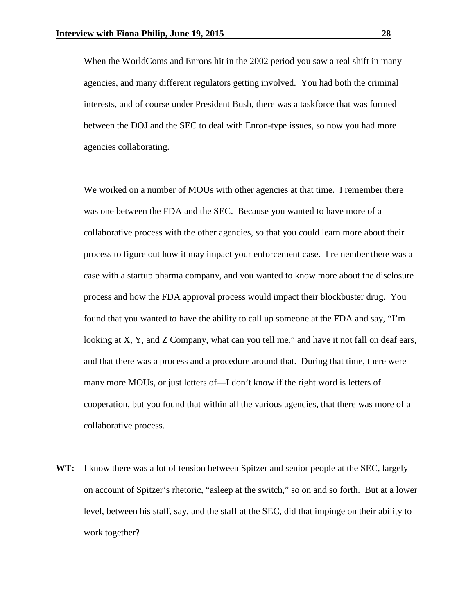When the WorldComs and Enrons hit in the 2002 period you saw a real shift in many agencies, and many different regulators getting involved. You had both the criminal interests, and of course under President Bush, there was a taskforce that was formed between the DOJ and the SEC to deal with Enron-type issues, so now you had more agencies collaborating.

We worked on a number of MOUs with other agencies at that time. I remember there was one between the FDA and the SEC. Because you wanted to have more of a collaborative process with the other agencies, so that you could learn more about their process to figure out how it may impact your enforcement case. I remember there was a case with a startup pharma company, and you wanted to know more about the disclosure process and how the FDA approval process would impact their blockbuster drug. You found that you wanted to have the ability to call up someone at the FDA and say, "I'm looking at X, Y, and Z Company, what can you tell me," and have it not fall on deaf ears, and that there was a process and a procedure around that. During that time, there were many more MOUs, or just letters of—I don't know if the right word is letters of cooperation, but you found that within all the various agencies, that there was more of a collaborative process.

**WT:** I know there was a lot of tension between Spitzer and senior people at the SEC, largely on account of Spitzer's rhetoric, "asleep at the switch," so on and so forth. But at a lower level, between his staff, say, and the staff at the SEC, did that impinge on their ability to work together?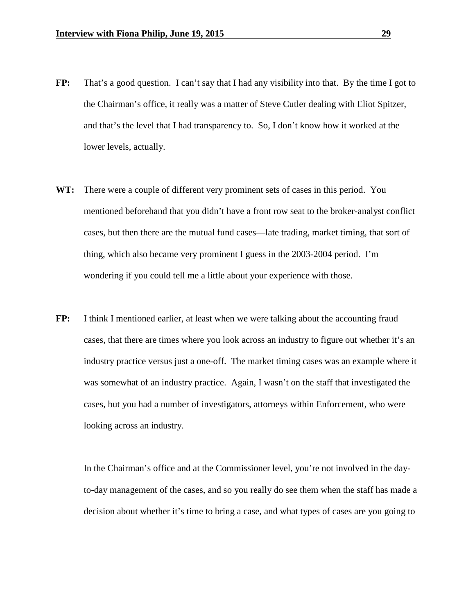- **FP:** That's a good question. I can't say that I had any visibility into that. By the time I got to the Chairman's office, it really was a matter of Steve Cutler dealing with Eliot Spitzer, and that's the level that I had transparency to. So, I don't know how it worked at the lower levels, actually.
- **WT:** There were a couple of different very prominent sets of cases in this period. You mentioned beforehand that you didn't have a front row seat to the broker-analyst conflict cases, but then there are the mutual fund cases—late trading, market timing, that sort of thing, which also became very prominent I guess in the 2003-2004 period. I'm wondering if you could tell me a little about your experience with those.
- **FP:** I think I mentioned earlier, at least when we were talking about the accounting fraud cases, that there are times where you look across an industry to figure out whether it's an industry practice versus just a one-off. The market timing cases was an example where it was somewhat of an industry practice. Again, I wasn't on the staff that investigated the cases, but you had a number of investigators, attorneys within Enforcement, who were looking across an industry.

In the Chairman's office and at the Commissioner level, you're not involved in the dayto-day management of the cases, and so you really do see them when the staff has made a decision about whether it's time to bring a case, and what types of cases are you going to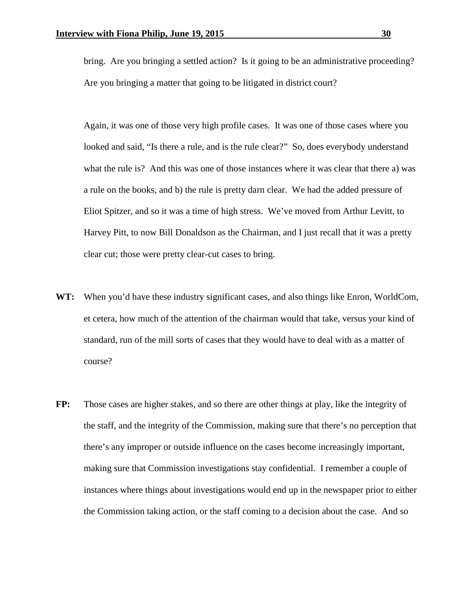bring. Are you bringing a settled action? Is it going to be an administrative proceeding? Are you bringing a matter that going to be litigated in district court?

Again, it was one of those very high profile cases. It was one of those cases where you looked and said, "Is there a rule, and is the rule clear?" So, does everybody understand what the rule is? And this was one of those instances where it was clear that there a) was a rule on the books, and b) the rule is pretty darn clear. We had the added pressure of Eliot Spitzer, and so it was a time of high stress. We've moved from Arthur Levitt, to Harvey Pitt, to now Bill Donaldson as the Chairman, and I just recall that it was a pretty clear cut; those were pretty clear-cut cases to bring.

- **WT:** When you'd have these industry significant cases, and also things like Enron, WorldCom, et cetera, how much of the attention of the chairman would that take, versus your kind of standard, run of the mill sorts of cases that they would have to deal with as a matter of course?
- **FP:** Those cases are higher stakes, and so there are other things at play, like the integrity of the staff, and the integrity of the Commission, making sure that there's no perception that there's any improper or outside influence on the cases become increasingly important, making sure that Commission investigations stay confidential. I remember a couple of instances where things about investigations would end up in the newspaper prior to either the Commission taking action, or the staff coming to a decision about the case. And so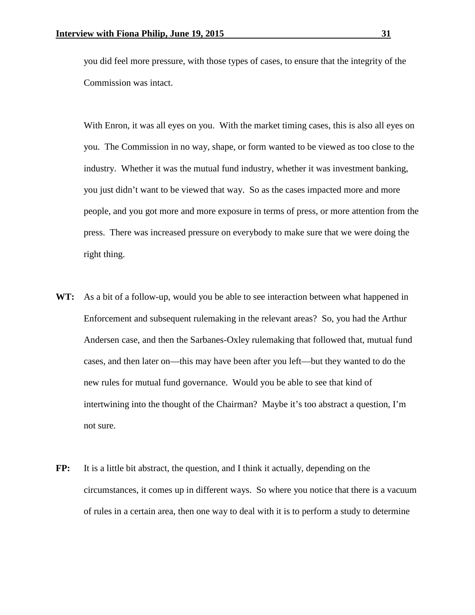you did feel more pressure, with those types of cases, to ensure that the integrity of the Commission was intact.

With Enron, it was all eyes on you. With the market timing cases, this is also all eyes on you. The Commission in no way, shape, or form wanted to be viewed as too close to the industry. Whether it was the mutual fund industry, whether it was investment banking, you just didn't want to be viewed that way. So as the cases impacted more and more people, and you got more and more exposure in terms of press, or more attention from the press. There was increased pressure on everybody to make sure that we were doing the right thing.

- **WT:** As a bit of a follow-up, would you be able to see interaction between what happened in Enforcement and subsequent rulemaking in the relevant areas? So, you had the Arthur Andersen case, and then the Sarbanes-Oxley rulemaking that followed that, mutual fund cases, and then later on—this may have been after you left—but they wanted to do the new rules for mutual fund governance. Would you be able to see that kind of intertwining into the thought of the Chairman? Maybe it's too abstract a question, I'm not sure.
- **FP:** It is a little bit abstract, the question, and I think it actually, depending on the circumstances, it comes up in different ways. So where you notice that there is a vacuum of rules in a certain area, then one way to deal with it is to perform a study to determine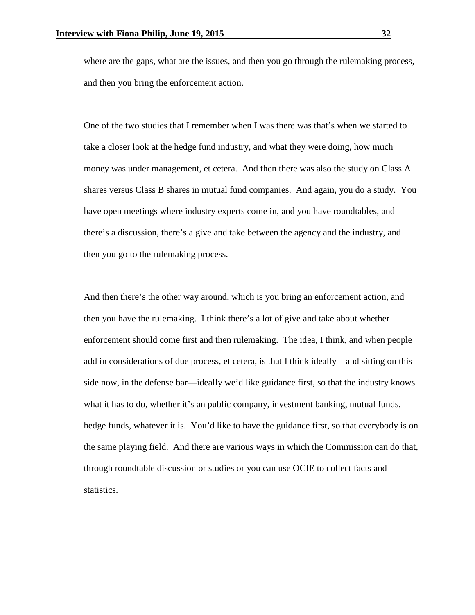where are the gaps, what are the issues, and then you go through the rulemaking process, and then you bring the enforcement action.

One of the two studies that I remember when I was there was that's when we started to take a closer look at the hedge fund industry, and what they were doing, how much money was under management, et cetera. And then there was also the study on Class A shares versus Class B shares in mutual fund companies. And again, you do a study. You have open meetings where industry experts come in, and you have roundtables, and there's a discussion, there's a give and take between the agency and the industry, and then you go to the rulemaking process.

And then there's the other way around, which is you bring an enforcement action, and then you have the rulemaking. I think there's a lot of give and take about whether enforcement should come first and then rulemaking. The idea, I think, and when people add in considerations of due process, et cetera, is that I think ideally—and sitting on this side now, in the defense bar—ideally we'd like guidance first, so that the industry knows what it has to do, whether it's an public company, investment banking, mutual funds, hedge funds, whatever it is. You'd like to have the guidance first, so that everybody is on the same playing field. And there are various ways in which the Commission can do that, through roundtable discussion or studies or you can use OCIE to collect facts and statistics.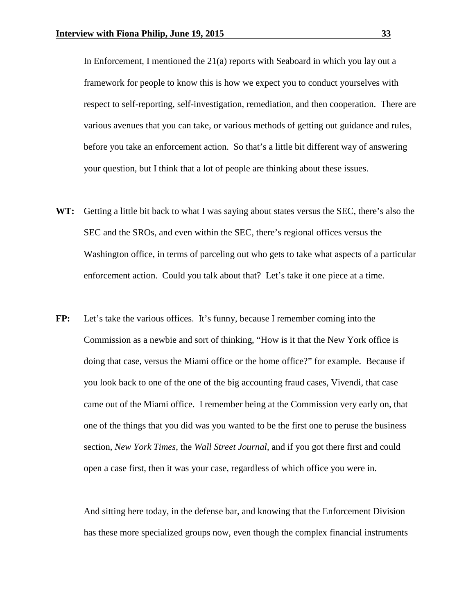In Enforcement, I mentioned the 21(a) reports with Seaboard in which you lay out a framework for people to know this is how we expect you to conduct yourselves with respect to self-reporting, self-investigation, remediation, and then cooperation. There are various avenues that you can take, or various methods of getting out guidance and rules, before you take an enforcement action. So that's a little bit different way of answering your question, but I think that a lot of people are thinking about these issues.

- **WT:** Getting a little bit back to what I was saying about states versus the SEC, there's also the SEC and the SROs, and even within the SEC, there's regional offices versus the Washington office, in terms of parceling out who gets to take what aspects of a particular enforcement action. Could you talk about that? Let's take it one piece at a time.
- **FP:** Let's take the various offices. It's funny, because I remember coming into the Commission as a newbie and sort of thinking, "How is it that the New York office is doing that case, versus the Miami office or the home office?" for example. Because if you look back to one of the one of the big accounting fraud cases, Vivendi, that case came out of the Miami office. I remember being at the Commission very early on, that one of the things that you did was you wanted to be the first one to peruse the business section, *New York Times*, the *Wall Street Journal*, and if you got there first and could open a case first, then it was your case, regardless of which office you were in.

And sitting here today, in the defense bar, and knowing that the Enforcement Division has these more specialized groups now, even though the complex financial instruments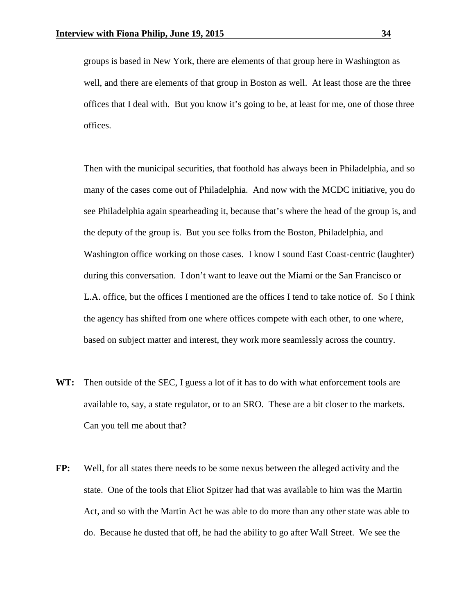groups is based in New York, there are elements of that group here in Washington as well, and there are elements of that group in Boston as well. At least those are the three offices that I deal with. But you know it's going to be, at least for me, one of those three offices.

Then with the municipal securities, that foothold has always been in Philadelphia, and so many of the cases come out of Philadelphia. And now with the MCDC initiative, you do see Philadelphia again spearheading it, because that's where the head of the group is, and the deputy of the group is. But you see folks from the Boston, Philadelphia, and Washington office working on those cases. I know I sound East Coast-centric (laughter) during this conversation. I don't want to leave out the Miami or the San Francisco or L.A. office, but the offices I mentioned are the offices I tend to take notice of. So I think the agency has shifted from one where offices compete with each other, to one where, based on subject matter and interest, they work more seamlessly across the country.

- **WT:** Then outside of the SEC, I guess a lot of it has to do with what enforcement tools are available to, say, a state regulator, or to an SRO. These are a bit closer to the markets. Can you tell me about that?
- **FP:** Well, for all states there needs to be some nexus between the alleged activity and the state. One of the tools that Eliot Spitzer had that was available to him was the Martin Act, and so with the Martin Act he was able to do more than any other state was able to do. Because he dusted that off, he had the ability to go after Wall Street. We see the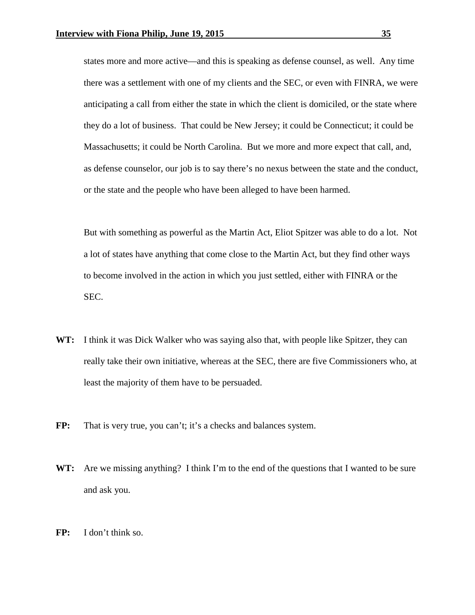states more and more active—and this is speaking as defense counsel, as well. Any time there was a settlement with one of my clients and the SEC, or even with FINRA, we were anticipating a call from either the state in which the client is domiciled, or the state where they do a lot of business. That could be New Jersey; it could be Connecticut; it could be Massachusetts; it could be North Carolina. But we more and more expect that call, and, as defense counselor, our job is to say there's no nexus between the state and the conduct, or the state and the people who have been alleged to have been harmed.

But with something as powerful as the Martin Act, Eliot Spitzer was able to do a lot. Not a lot of states have anything that come close to the Martin Act, but they find other ways to become involved in the action in which you just settled, either with FINRA or the SEC.

- **WT:** I think it was Dick Walker who was saying also that, with people like Spitzer, they can really take their own initiative, whereas at the SEC, there are five Commissioners who, at least the majority of them have to be persuaded.
- FP: That is very true, you can't; it's a checks and balances system.
- **WT:** Are we missing anything? I think I'm to the end of the questions that I wanted to be sure and ask you.
- **FP:** I don't think so.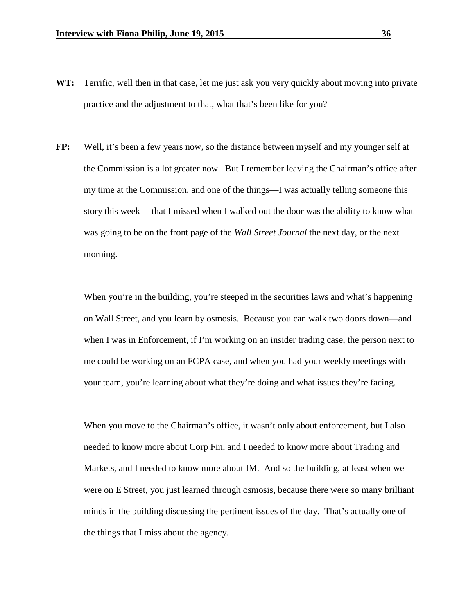- **WT:** Terrific, well then in that case, let me just ask you very quickly about moving into private practice and the adjustment to that, what that's been like for you?
- **FP:** Well, it's been a few years now, so the distance between myself and my younger self at the Commission is a lot greater now. But I remember leaving the Chairman's office after my time at the Commission, and one of the things—I was actually telling someone this story this week— that I missed when I walked out the door was the ability to know what was going to be on the front page of the *Wall Street Journal* the next day, or the next morning.

When you're in the building, you're steeped in the securities laws and what's happening on Wall Street, and you learn by osmosis. Because you can walk two doors down—and when I was in Enforcement, if I'm working on an insider trading case, the person next to me could be working on an FCPA case, and when you had your weekly meetings with your team, you're learning about what they're doing and what issues they're facing.

When you move to the Chairman's office, it wasn't only about enforcement, but I also needed to know more about Corp Fin, and I needed to know more about Trading and Markets, and I needed to know more about IM. And so the building, at least when we were on E Street, you just learned through osmosis, because there were so many brilliant minds in the building discussing the pertinent issues of the day. That's actually one of the things that I miss about the agency.